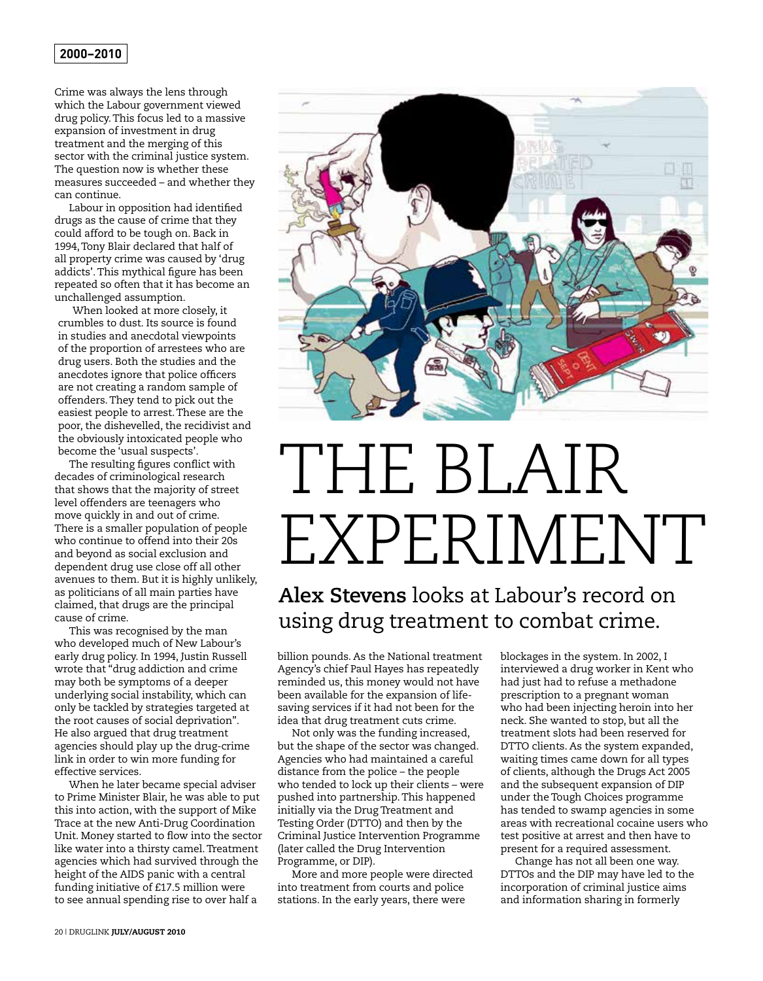Crime was always the lens through which the Labour government viewed drug policy. This focus led to a massive expansion of investment in drug treatment and the merging of this sector with the criminal justice system. The question now is whether these measures succeeded – and whether they can continue.

Labour in opposition had identified drugs as the cause of crime that they could afford to be tough on. Back in 1994, Tony Blair declared that half of all property crime was caused by 'drug addicts'. This mythical figure has been repeated so often that it has become an unchallenged assumption.

When looked at more closely, it crumbles to dust. Its source is found in studies and anecdotal viewpoints of the proportion of arrestees who are drug users. Both the studies and the anecdotes ignore that police officers are not creating a random sample of offenders. They tend to pick out the easiest people to arrest. These are the poor, the dishevelled, the recidivist and the obviously intoxicated people who become the 'usual suspects'.

The resulting figures conflict with decades of criminological research that shows that the majority of street level offenders are teenagers who move quickly in and out of crime. There is a smaller population of people who continue to offend into their 20s and beyond as social exclusion and dependent drug use close off all other avenues to them. But it is highly unlikely, as politicians of all main parties have claimed, that drugs are the principal cause of crime.

This was recognised by the man who developed much of New Labour's early drug policy. In 1994, Justin Russell wrote that "drug addiction and crime may both be symptoms of a deeper underlying social instability, which can only be tackled by strategies targeted at the root causes of social deprivation". He also argued that drug treatment agencies should play up the drug-crime link in order to win more funding for effective services.

When he later became special adviser to Prime Minister Blair, he was able to put this into action, with the support of Mike Trace at the new Anti-Drug Coordination Unit. Money started to flow into the sector like water into a thirsty camel. Treatment agencies which had survived through the height of the AIDS panic with a central funding initiative of £17.5 million were to see annual spending rise to over half a



## THE BLAIR EXPERIMENT

## **Alex Stevens** looks at Labour's record on using drug treatment to combat crime.

billion pounds. As the National treatment Agency's chief Paul Hayes has repeatedly reminded us, this money would not have been available for the expansion of lifesaving services if it had not been for the idea that drug treatment cuts crime.

Not only was the funding increased, but the shape of the sector was changed. Agencies who had maintained a careful distance from the police – the people who tended to lock up their clients – were pushed into partnership. This happened initially via the Drug Treatment and Testing Order (DTTO) and then by the Criminal Justice Intervention Programme (later called the Drug Intervention Programme, or DIP).

More and more people were directed into treatment from courts and police stations. In the early years, there were

blockages in the system. In 2002, I interviewed a drug worker in Kent who had just had to refuse a methadone prescription to a pregnant woman who had been injecting heroin into her neck. She wanted to stop, but all the treatment slots had been reserved for DTTO clients. As the system expanded, waiting times came down for all types of clients, although the Drugs Act 2005 and the subsequent expansion of DIP under the Tough Choices programme has tended to swamp agencies in some areas with recreational cocaine users who test positive at arrest and then have to present for a required assessment.

Change has not all been one way. DTTOs and the DIP may have led to the incorporation of criminal justice aims and information sharing in formerly